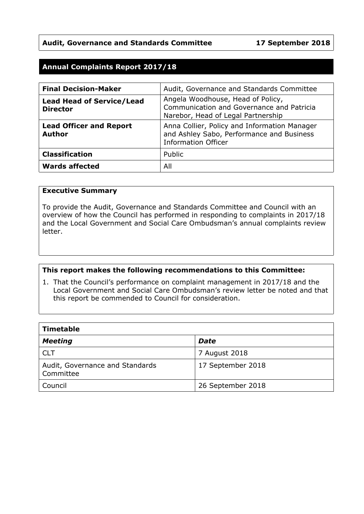## **Audit, Governance and Standards Committee 17 September 2018**

## **Annual Complaints Report 2017/18**

| <b>Final Decision-Maker</b>                         | Audit, Governance and Standards Committee                                                                               |
|-----------------------------------------------------|-------------------------------------------------------------------------------------------------------------------------|
| <b>Lead Head of Service/Lead</b><br><b>Director</b> | Angela Woodhouse, Head of Policy,<br>Communication and Governance and Patricia<br>Narebor, Head of Legal Partnership    |
| <b>Lead Officer and Report</b><br><b>Author</b>     | Anna Collier, Policy and Information Manager<br>and Ashley Sabo, Performance and Business<br><b>Information Officer</b> |
| <b>Classification</b>                               | Public                                                                                                                  |
| <b>Wards affected</b>                               | All                                                                                                                     |

#### **Executive Summary**

To provide the Audit, Governance and Standards Committee and Council with an overview of how the Council has performed in responding to complaints in 2017/18 and the Local Government and Social Care Ombudsman's annual complaints review letter.

#### **This report makes the following recommendations to this Committee:**

1. That the Council's performance on complaint management in 2017/18 and the Local Government and Social Care Ombudsman's review letter be noted and that this report be commended to Council for consideration.

| Timetable                                    |                   |  |  |
|----------------------------------------------|-------------------|--|--|
| <b>Meeting</b>                               | <b>Date</b>       |  |  |
| CLT                                          | 7 August 2018     |  |  |
| Audit, Governance and Standards<br>Committee | 17 September 2018 |  |  |
| Council                                      | 26 September 2018 |  |  |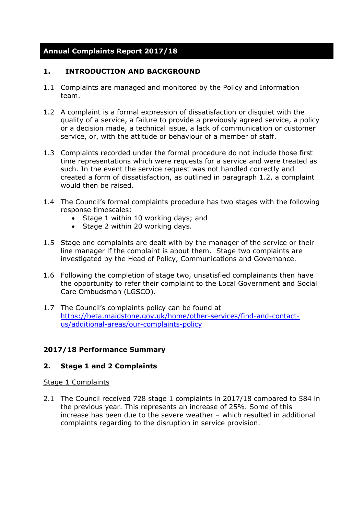# **Annual Complaints Report 2017/18**

## **1. INTRODUCTION AND BACKGROUND**

- 1.1 Complaints are managed and monitored by the Policy and Information team.
- 1.2 A complaint is a formal expression of dissatisfaction or disquiet with the quality of a service, a failure to provide a previously agreed service, a policy or a decision made, a technical issue, a lack of communication or customer service, or, with the attitude or behaviour of a member of staff.
- 1.3 Complaints recorded under the formal procedure do not include those first time representations which were requests for a service and were treated as such. In the event the service request was not handled correctly and created a form of dissatisfaction, as outlined in paragraph 1.2, a complaint would then be raised.
- 1.4 The Council's formal complaints procedure has two stages with the following response timescales:
	- Stage 1 within 10 working days; and
	- Stage 2 within 20 working days.
- 1.5 Stage one complaints are dealt with by the manager of the service or their line manager if the complaint is about them. Stage two complaints are investigated by the Head of Policy, Communications and Governance.
- 1.6 Following the completion of stage two, unsatisfied complainants then have the opportunity to refer their complaint to the Local Government and Social Care Ombudsman (LGSCO).
- 1.7 The Council's complaints policy can be found at [https://beta.maidstone.gov.uk/home/other-services/find-and-contact](https://beta.maidstone.gov.uk/home/other-services/find-and-contact-us/additional-areas/our-complaints-policy)[us/additional-areas/our-complaints-policy](https://beta.maidstone.gov.uk/home/other-services/find-and-contact-us/additional-areas/our-complaints-policy)

## **2017/18 Performance Summary**

## **2. Stage 1 and 2 Complaints**

#### Stage 1 Complaints

2.1 The Council received 728 stage 1 complaints in 2017/18 compared to 584 in the previous year. This represents an increase of 25%. Some of this increase has been due to the severe weather – which resulted in additional complaints regarding to the disruption in service provision.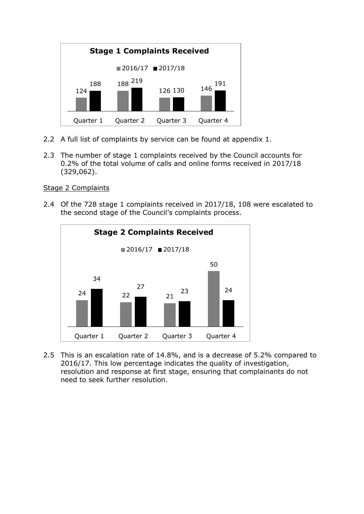

- 2.2 A full list of complaints by service can be found at appendix 1.
- 2.3 The number of stage 1 complaints received by the Council accounts for 0.2% of the total volume of calls and online forms received in 2017/18 (329,062).

## Stage 2 Complaints

2.4 Of the 728 stage 1 complaints received in 2017/18, 108 were escalated to the second stage of the Council's complaints process.



2.5 This is an escalation rate of 14.8%, and is a decrease of 5.2% compared to 2016/17. This low percentage indicates the quality of investigation, resolution and response at first stage, ensuring that complainants do not need to seek further resolution.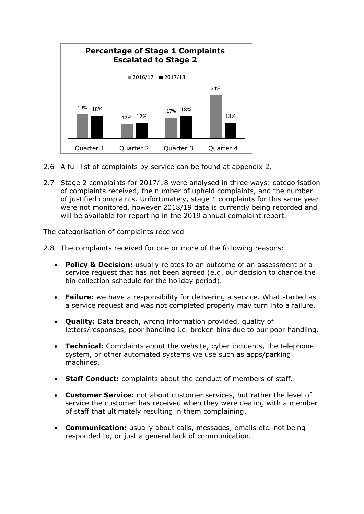

- 2.6 A full list of complaints by service can be found at appendix 2.
- 2.7 Stage 2 complaints for 2017/18 were analysed in three ways: categorisation of complaints received, the number of upheld complaints, and the number of justified complaints. Unfortunately, stage 1 complaints for this same year were not monitored, however 2018/19 data is currently being recorded and will be available for reporting in the 2019 annual complaint report.

#### The categorisation of complaints received

- 2.8 The complaints received for one or more of the following reasons:
	- **Policy & Decision:** usually relates to an outcome of an assessment or a service request that has not been agreed (e.g. our decision to change the bin collection schedule for the holiday period).
	- **Failure:** we have a responsibility for delivering a service. What started as a service request and was not completed properly may turn into a failure.
	- **Quality:** Data breach, wrong information provided, quality of letters/responses, poor handling i.e. broken bins due to our poor handling.
	- **Technical:** Complaints about the website, cyber incidents, the telephone system, or other automated systems we use such as apps/parking machines.
	- **Staff Conduct:** complaints about the conduct of members of staff.
	- **Customer Service:** not about customer services, but rather the level of service the customer has received when they were dealing with a member of staff that ultimately resulting in them complaining.
	- **Communication:** usually about calls, messages, emails etc. not being responded to, or just a general lack of communication.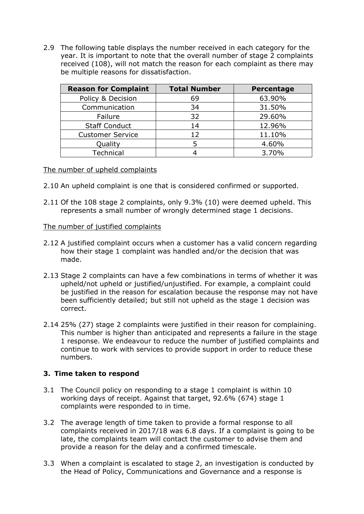2.9 The following table displays the number received in each category for the year. It is important to note that the overall number of stage 2 complaints received (108), will not match the reason for each complaint as there may be multiple reasons for dissatisfaction.

| <b>Reason for Complaint</b> | <b>Total Number</b> | Percentage |
|-----------------------------|---------------------|------------|
| Policy & Decision           | 69                  | 63.90%     |
| Communication               | 34                  | 31.50%     |
| Failure                     | 32                  | 29.60%     |
| <b>Staff Conduct</b>        | 14                  | 12.96%     |
| <b>Customer Service</b>     | $12 \ \mathrm{$     | 11.10%     |
| Quality                     |                     | 4.60%      |
| Technical                   |                     | 3.70%      |

## The number of upheld complaints

- 2.10 An upheld complaint is one that is considered confirmed or supported.
- 2.11 Of the 108 stage 2 complaints, only 9.3% (10) were deemed upheld. This represents a small number of wrongly determined stage 1 decisions.

#### The number of justified complaints

- 2.12 A justified complaint occurs when a customer has a valid concern regarding how their stage 1 complaint was handled and/or the decision that was made.
- 2.13 Stage 2 complaints can have a few combinations in terms of whether it was upheld/not upheld or justified/unjustified. For example, a complaint could be justified in the reason for escalation because the response may not have been sufficiently detailed; but still not upheld as the stage 1 decision was correct.
- 2.14 25% (27) stage 2 complaints were justified in their reason for complaining. This number is higher than anticipated and represents a failure in the stage 1 response. We endeavour to reduce the number of justified complaints and continue to work with services to provide support in order to reduce these numbers.

## **3. Time taken to respond**

- 3.1 The Council policy on responding to a stage 1 complaint is within 10 working days of receipt. Against that target, 92.6% (674) stage 1 complaints were responded to in time.
- 3.2 The average length of time taken to provide a formal response to all complaints received in 2017/18 was 6.8 days. If a complaint is going to be late, the complaints team will contact the customer to advise them and provide a reason for the delay and a confirmed timescale.
- 3.3 When a complaint is escalated to stage 2, an investigation is conducted by the Head of Policy, Communications and Governance and a response is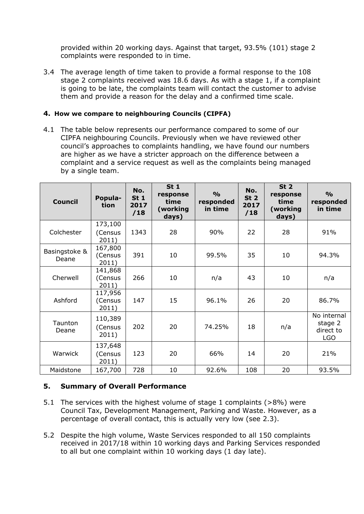provided within 20 working days. Against that target, 93.5% (101) stage 2 complaints were responded to in time.

3.4 The average length of time taken to provide a formal response to the 108 stage 2 complaints received was 18.6 days. As with a stage 1, if a complaint is going to be late, the complaints team will contact the customer to advise them and provide a reason for the delay and a confirmed time scale.

## **4. How we compare to neighbouring Councils (CIPFA)**

4.1 The table below represents our performance compared to some of our CIPFA neighbouring Councils. Previously when we have reviewed other council's approaches to complaints handling, we have found our numbers are higher as we have a stricter approach on the difference between a complaint and a service request as well as the complaints being managed by a single team.

| <b>Council</b>   | Popula-<br>tion    | No.<br>St <sub>1</sub><br>2017<br>/18 | St <sub>1</sub><br>response<br>time<br>(working<br>days) | $\frac{0}{0}$<br>responded<br>in time | No.<br>St <sub>2</sub><br>2017<br>/18 | St <sub>2</sub><br>response<br>time<br>(working<br>days) | $\frac{0}{0}$<br>responded<br>in time |
|------------------|--------------------|---------------------------------------|----------------------------------------------------------|---------------------------------------|---------------------------------------|----------------------------------------------------------|---------------------------------------|
| Colchester       | 173,100<br>(Census | 1343                                  | 28                                                       | 90%                                   | 22                                    | 28                                                       | 91%                                   |
|                  | 2011)              |                                       |                                                          |                                       |                                       |                                                          |                                       |
| Basingstoke &    | 167,800            |                                       |                                                          |                                       |                                       |                                                          |                                       |
| Deane            | (Census<br>2011)   | 391                                   | 10                                                       | 99.5%                                 | 35                                    | 10                                                       | 94.3%                                 |
|                  | 141,868            |                                       |                                                          |                                       |                                       |                                                          |                                       |
| Cherwell         | (Census<br>2011)   | 266                                   | 10                                                       | n/a                                   | 43                                    | 10                                                       | n/a                                   |
|                  | 117,956            |                                       |                                                          |                                       |                                       |                                                          |                                       |
| Ashford          | (Census<br>2011)   | 147                                   | 15                                                       | 96.1%                                 | 26                                    | 20                                                       | 86.7%                                 |
|                  | 110,389            |                                       |                                                          |                                       |                                       |                                                          | No internal                           |
| Taunton<br>Deane | (Census            | 202                                   | 20                                                       | 74.25%                                | 18                                    | n/a                                                      | stage 2<br>direct to                  |
|                  | 2011)              |                                       |                                                          |                                       |                                       |                                                          | <b>LGO</b>                            |
|                  | 137,648            |                                       |                                                          |                                       |                                       |                                                          |                                       |
| Warwick          | (Census<br>2011)   | 123                                   | 20                                                       | 66%                                   | 14                                    | 20                                                       | 21%                                   |
| Maidstone        | 167,700            | 728                                   | 10                                                       | 92.6%                                 | 108                                   | 20                                                       | 93.5%                                 |

## **5. Summary of Overall Performance**

- 5.1 The services with the highest volume of stage 1 complaints (>8%) were Council Tax, Development Management, Parking and Waste. However, as a percentage of overall contact, this is actually very low (see 2.3).
- 5.2 Despite the high volume, Waste Services responded to all 150 complaints received in 2017/18 within 10 working days and Parking Services responded to all but one complaint within 10 working days (1 day late).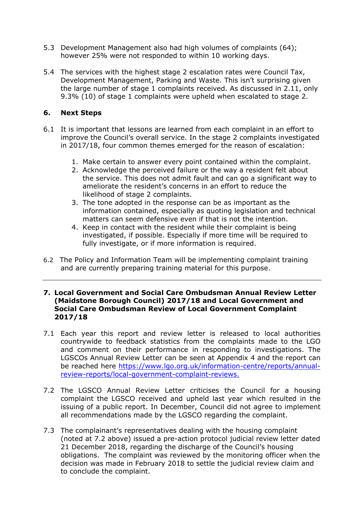- 5.3 Development Management also had high volumes of complaints (64); however 25% were not responded to within 10 working days.
- 5.4 The services with the highest stage 2 escalation rates were Council Tax, Development Management, Parking and Waste. This isn't surprising given the large number of stage 1 complaints received. As discussed in 2.11, only 9.3% (10) of stage 1 complaints were upheld when escalated to stage 2.

## **6. Next Steps**

- 6.1 It is important that lessons are learned from each complaint in an effort to improve the Council's overall service. In the stage 2 complaints investigated in 2017/18, four common themes emerged for the reason of escalation:
	- 1. Make certain to answer every point contained within the complaint.
	- 2. Acknowledge the perceived failure or the way a resident felt about the service. This does not admit fault and can go a significant way to ameliorate the resident's concerns in an effort to reduce the likelihood of stage 2 complaints.
	- 3. The tone adopted in the response can be as important as the information contained, especially as quoting legislation and technical matters can seem defensive even if that is not the intention.
	- 4. Keep in contact with the resident while their complaint is being investigated, if possible. Especially if more time will be required to fully investigate, or if more information is required.
- 6.2 The Policy and Information Team will be implementing complaint training and are currently preparing training material for this purpose.

#### **7. Local Government and Social Care Ombudsman Annual Review Letter (Maidstone Borough Council) 2017/18 and Local Government and Social Care Ombudsman Review of Local Government Complaint 2017/18**

- 7.1 Each year this report and review letter is released to local authorities countrywide to feedback statistics from the complaints made to the LGO and comment on their performance in responding to investigations. The LGSCOs Annual Review Letter can be seen at Appendix 4 and the report can be reached here [https://www.lgo.org.uk/information-centre/reports/annual](https://www.lgo.org.uk/information-centre/reports/annual-review-reports/local-government-complaint-reviews)[review-reports/local-government-complaint-reviews.](https://www.lgo.org.uk/information-centre/reports/annual-review-reports/local-government-complaint-reviews)
- 7.2 The LGSCO Annual Review Letter criticises the Council for a housing complaint the LGSCO received and upheld last year which resulted in the issuing of a public report. In December, Council did not agree to implement all recommendations made by the LGSCO regarding the complaint.
- 7.3 The complainant's representatives dealing with the housing complaint (noted at 7.2 above) issued a pre-action protocol judicial review letter dated 21 December 2018, regarding the discharge of the Council's housing obligations. The complaint was reviewed by the monitoring officer when the decision was made in February 2018 to settle the judicial review claim and to conclude the complaint.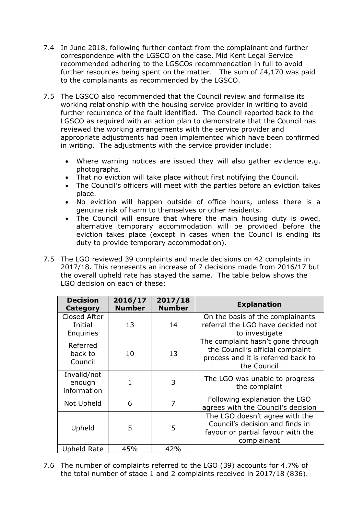- 7.4 In June 2018, following further contact from the complainant and further correspondence with the LGSCO on the case, Mid Kent Legal Service recommended adhering to the LGSCOs recommendation in full to avoid further resources being spent on the matter. The sum of £4,170 was paid to the complainants as recommended by the LGSCO.
- 7.5 The LGSCO also recommended that the Council review and formalise its working relationship with the housing service provider in writing to avoid further recurrence of the fault identified. The Council reported back to the LGSCO as required with an action plan to demonstrate that the Council has reviewed the working arrangements with the service provider and appropriate adjustments had been implemented which have been confirmed in writing. The adjustments with the service provider include:
	- Where warning notices are issued they will also gather evidence e.g. photographs.
	- That no eviction will take place without first notifying the Council.
	- The Council's officers will meet with the parties before an eviction takes place.
	- No eviction will happen outside of office hours, unless there is a genuine risk of harm to themselves or other residents.
	- The Council will ensure that where the main housing duty is owed, alternative temporary accommodation will be provided before the eviction takes place (except in cases when the Council is ending its duty to provide temporary accommodation).
- 7.5 The LGO reviewed 39 complaints and made decisions on 42 complaints in 2017/18. This represents an increase of 7 decisions made from 2016/17 but the overall upheld rate has stayed the same. The table below shows the LGO decision on each of these:

| <b>Decision</b><br>Category                 | 2016/17<br><b>Number</b> | 2017/18<br><b>Number</b> | <b>Explanation</b>                                                                                                         |
|---------------------------------------------|--------------------------|--------------------------|----------------------------------------------------------------------------------------------------------------------------|
| <b>Closed After</b><br>Initial<br>Enquiries | 13                       | 14                       | On the basis of the complainants<br>referral the LGO have decided not<br>to investigate                                    |
| Referred<br>back to<br>Council              | 10                       | 13                       | The complaint hasn't gone through<br>the Council's official complaint<br>process and it is referred back to<br>the Council |
| Invalid/not<br>enough<br>information        | 1                        | 3                        | The LGO was unable to progress<br>the complaint                                                                            |
| Not Upheld                                  | 6                        | 7                        | Following explanation the LGO<br>agrees with the Council's decision                                                        |
| Upheld                                      | 5                        | 5                        | The LGO doesn't agree with the<br>Council's decision and finds in<br>favour or partial favour with the<br>complainant      |
| <b>Upheld Rate</b>                          | 45%                      | 42%                      |                                                                                                                            |

7.6 The number of complaints referred to the LGO (39) accounts for 4.7% of the total number of stage 1 and 2 complaints received in 2017/18 (836).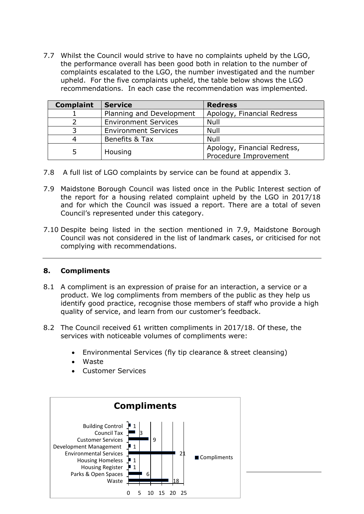7.7 Whilst the Council would strive to have no complaints upheld by the LGO, the performance overall has been good both in relation to the number of complaints escalated to the LGO, the number investigated and the number upheld. For the five complaints upheld, the table below shows the LGO recommendations. In each case the recommendation was implemented.

| <b>Complaint</b> | <b>Service</b>              | <b>Redress</b>                                       |
|------------------|-----------------------------|------------------------------------------------------|
|                  | Planning and Development    | Apology, Financial Redress                           |
|                  | <b>Environment Services</b> | Null                                                 |
|                  | <b>Environment Services</b> | Null                                                 |
|                  | Benefits & Tax              | Null                                                 |
|                  | Housing                     | Apology, Financial Redress,<br>Procedure Improvement |

- 7.8 A full list of LGO complaints by service can be found at appendix 3.
- 7.9 Maidstone Borough Council was listed once in the Public Interest section of the report for a housing related complaint upheld by the LGO in 2017/18 and for which the Council was issued a report. There are a total of seven Council's represented under this category.
- 7.10 Despite being listed in the section mentioned in 7.9, Maidstone Borough Council was not considered in the list of landmark cases, or criticised for not complying with recommendations.

## **8. Compliments**

- 8.1 A compliment is an expression of praise for an interaction, a service or a product. We log compliments from members of the public as they help us identify good practice, recognise those members of staff who provide a high quality of service, and learn from our customer's feedback.
- 8.2 The Council received 61 written compliments in 2017/18. Of these, the services with noticeable volumes of compliments were:
	- Environmental Services (fly tip clearance & street cleansing)
	- Waste
	- Customer Services

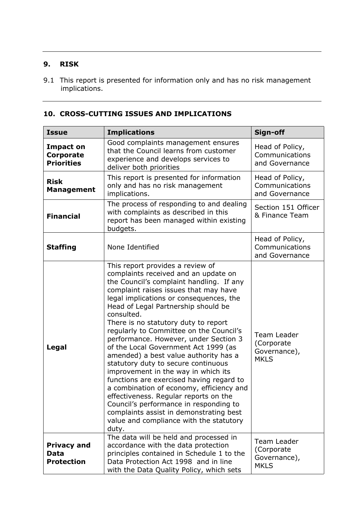## **9. RISK**

9.1 This report is presented for information only and has no risk management implications.

## **10. CROSS-CUTTING ISSUES AND IMPLICATIONS**

| <b>Issue</b>                                       | <b>Implications</b>                                                                                                                                                                                                                                                                                                                                                                                                                                                                                                                                                                                                                                                                                                                                                                                                                | Sign-off                                                 |
|----------------------------------------------------|------------------------------------------------------------------------------------------------------------------------------------------------------------------------------------------------------------------------------------------------------------------------------------------------------------------------------------------------------------------------------------------------------------------------------------------------------------------------------------------------------------------------------------------------------------------------------------------------------------------------------------------------------------------------------------------------------------------------------------------------------------------------------------------------------------------------------------|----------------------------------------------------------|
| <b>Impact on</b><br>Corporate<br><b>Priorities</b> | Good complaints management ensures<br>that the Council learns from customer<br>experience and develops services to<br>deliver both priorities                                                                                                                                                                                                                                                                                                                                                                                                                                                                                                                                                                                                                                                                                      | Head of Policy,<br>Communications<br>and Governance      |
| <b>Risk</b><br><b>Management</b>                   | This report is presented for information<br>only and has no risk management<br>implications.                                                                                                                                                                                                                                                                                                                                                                                                                                                                                                                                                                                                                                                                                                                                       | Head of Policy,<br>Communications<br>and Governance      |
| <b>Financial</b>                                   | The process of responding to and dealing<br>with complaints as described in this<br>report has been managed within existing<br>budgets.                                                                                                                                                                                                                                                                                                                                                                                                                                                                                                                                                                                                                                                                                            | Section 151 Officer<br>& Finance Team                    |
| <b>Staffing</b>                                    | None Identified                                                                                                                                                                                                                                                                                                                                                                                                                                                                                                                                                                                                                                                                                                                                                                                                                    | Head of Policy,<br>Communications<br>and Governance      |
| Legal                                              | This report provides a review of<br>complaints received and an update on<br>the Council's complaint handling. If any<br>complaint raises issues that may have<br>legal implications or consequences, the<br>Head of Legal Partnership should be<br>consulted.<br>There is no statutory duty to report<br>regularly to Committee on the Council's<br>performance. However, under Section 3<br>of the Local Government Act 1999 (as<br>amended) a best value authority has a<br>statutory duty to secure continuous<br>improvement in the way in which its<br>functions are exercised having regard to<br>a combination of economy, efficiency and<br>effectiveness. Regular reports on the<br>Council's performance in responding to<br>complaints assist in demonstrating best<br>value and compliance with the statutory<br>duty. | Team Leader<br>(Corporate<br>Governance),<br><b>MKLS</b> |
| <b>Privacy and</b><br>Data<br><b>Protection</b>    | The data will be held and processed in<br>accordance with the data protection<br>principles contained in Schedule 1 to the<br>Data Protection Act 1998 and in line<br>with the Data Quality Policy, which sets                                                                                                                                                                                                                                                                                                                                                                                                                                                                                                                                                                                                                     | Team Leader<br>(Corporate<br>Governance),<br><b>MKLS</b> |